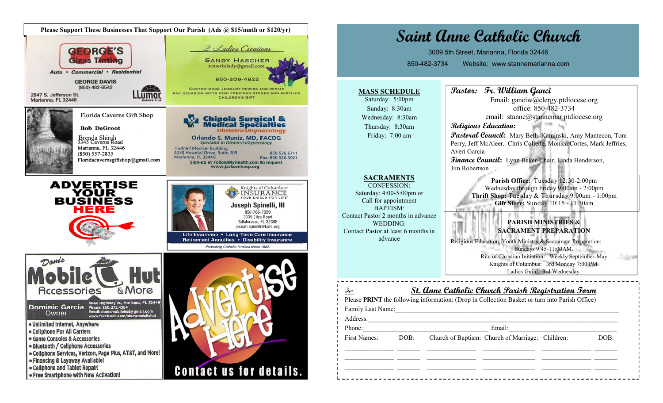

## **Saint Anne Catholic Church** 3009 5th Street, Marianna, Florida 32446 850-482-3734 Website: www.stannemarianna.com **Pastor: Fr. William Ganci MASS SCHEDULE** Saturday: 5:00pm Email: ganciw@clergy.ptdiocese.org office: 850-482-3734 Sunday: 8:30am email: stanne@stannemar.ptdiocese.org Wednesday: 8:30am **Religious Education:** Thursday: 8:30am **Pastoral Council:** Mary Beth Kaminski, Amy Mantecon, Tom Friday: 7:00 am Perry, Jeff McAleer, Chris Collette, Monica Cortes, Mark Jeffries, Averi Garcia **Finance Council:** Lynn Baker-Chair, Linda Henderson, Jim Robertson **SACRAMENTS Parish Office:** Tuesday 12:30-2:00pm CONFESSION: Wednesday through Friday 9:00am - 2:00pm Saturday: 4:00-5:00pm or **Thrift Shop:** Tuesday & Thursday 9:00am - 1:00pm Call for appointment **Gift Store:** Sunday 10:15 - 11:30am BAPTISM: Contact Pastor 2 months in advance **PARISH MINISTRIES &**  WEDDING: Contact Pastor at least 6 months in **SACRAMENT PREPARATION** advance Religious Education, Youth Ministry & Sacrament Preparation: Sundays 9:45-11:00AM. Rite of Christian Initiation: Weekly September-May -Tabram Knights of Columbus: 3rd Monday 7:00 PM. Ladies Guild: 3rd Wednesday. **St. Anne Catholic Church Parish Registration Form** Please **PRINT** the following information: (Drop in Collection Basket or turn into Parish Office) Family Last Name:\_\_\_\_\_\_\_\_\_\_\_\_\_\_\_\_\_\_\_\_\_\_\_\_\_\_\_\_\_\_\_\_\_\_\_\_\_\_\_\_\_\_\_\_\_\_\_\_\_\_\_\_\_\_\_\_\_\_\_\_\_\_\_\_\_\_\_\_ Address: Phone: Email: First Names: DOB: Church of Baptism: Church of Marriage: Children: DOB:  $\mathcal{L}_\text{max}$  $\mathcal{L}_\text{max}$